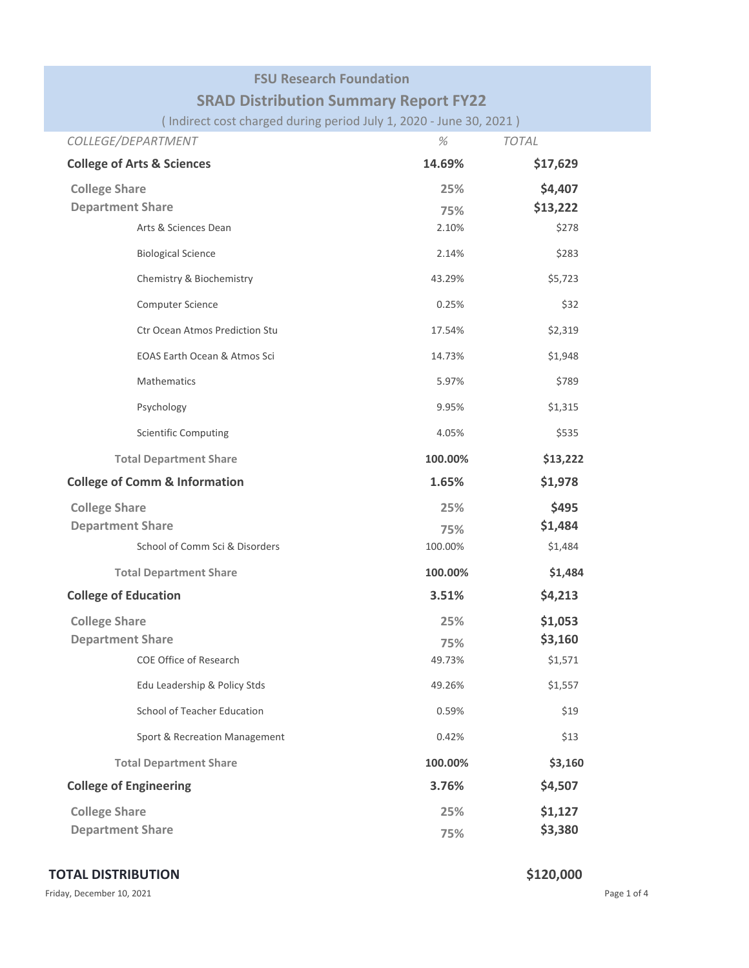## **FSU Research Foundation**

# **SRAD Distribution Summary Report FY22**

( Indirect cost charged during period July 1, 2020 ‐ June 30, 2021 )

| COLLEGE/DEPARTMENT                       | $\%$    | <b>TOTAL</b> |
|------------------------------------------|---------|--------------|
| <b>College of Arts &amp; Sciences</b>    | 14.69%  | \$17,629     |
| <b>College Share</b>                     | 25%     | \$4,407      |
| <b>Department Share</b>                  | 75%     | \$13,222     |
| Arts & Sciences Dean                     | 2.10%   | \$278        |
| <b>Biological Science</b>                | 2.14%   | \$283        |
| Chemistry & Biochemistry                 | 43.29%  | \$5,723      |
| Computer Science                         | 0.25%   | \$32         |
| Ctr Ocean Atmos Prediction Stu           | 17.54%  | \$2,319      |
| EOAS Earth Ocean & Atmos Sci             | 14.73%  | \$1,948      |
| <b>Mathematics</b>                       | 5.97%   | \$789        |
| Psychology                               | 9.95%   | \$1,315      |
| <b>Scientific Computing</b>              | 4.05%   | \$535        |
| <b>Total Department Share</b>            | 100.00% | \$13,222     |
| <b>College of Comm &amp; Information</b> | 1.65%   | \$1,978      |
| <b>College Share</b>                     | 25%     | \$495        |
| <b>Department Share</b>                  | 75%     | \$1,484      |
| School of Comm Sci & Disorders           | 100.00% | \$1,484      |
| <b>Total Department Share</b>            | 100.00% | \$1,484      |
| <b>College of Education</b>              | 3.51%   | \$4,213      |
| <b>College Share</b>                     | 25%     | \$1,053      |
| <b>Department Share</b>                  | 75%     | \$3,160      |
| <b>COE Office of Research</b>            | 49.73%  | \$1,571      |
| Edu Leadership & Policy Stds             | 49.26%  | \$1,557      |
| School of Teacher Education              | 0.59%   | \$19         |
| Sport & Recreation Management            | 0.42%   | \$13         |
| <b>Total Department Share</b>            | 100.00% | \$3,160      |
| <b>College of Engineering</b>            | 3.76%   | \$4,507      |
| <b>College Share</b>                     | 25%     | \$1,127      |
| <b>Department Share</b>                  | 75%     | \$3,380      |

## **TOTAL DISTRIBUTION \$120,000**

Friday, December 10, 2021 **Page 1 of 4** Page 1 of 4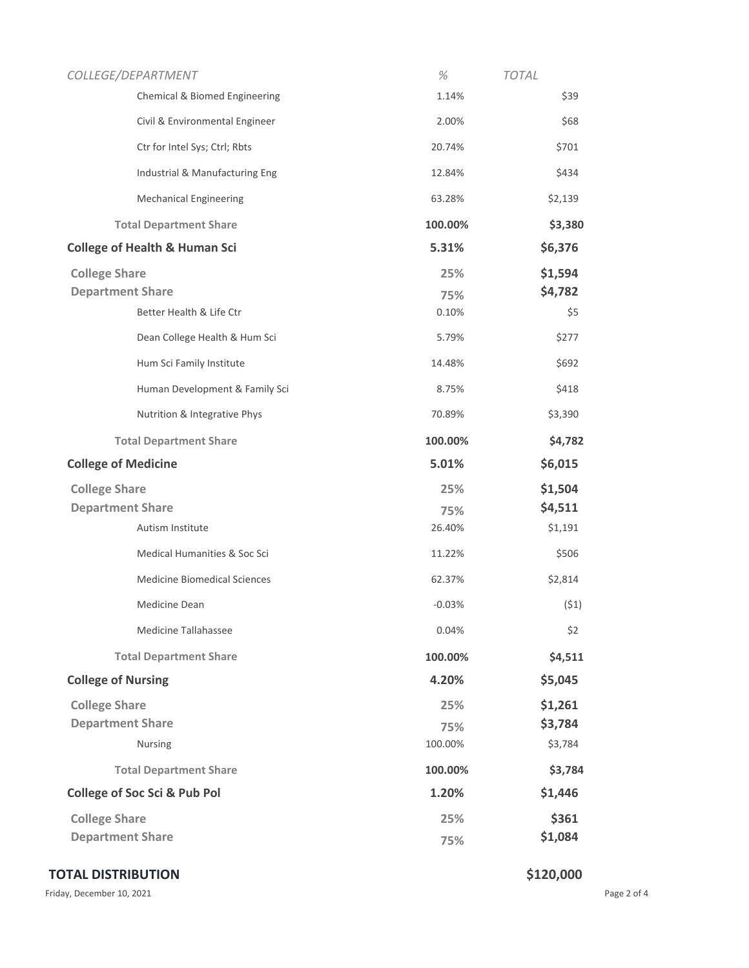|                            | COLLEGE/DEPARTMENT                       | %        | <b>TOTAL</b> |
|----------------------------|------------------------------------------|----------|--------------|
|                            | Chemical & Biomed Engineering            | 1.14%    | \$39         |
|                            | Civil & Environmental Engineer           | 2.00%    | \$68         |
|                            | Ctr for Intel Sys; Ctrl; Rbts            | 20.74%   | \$701        |
|                            | Industrial & Manufacturing Eng           | 12.84%   | \$434        |
|                            | <b>Mechanical Engineering</b>            | 63.28%   | \$2,139      |
|                            | <b>Total Department Share</b>            | 100.00%  | \$3,380      |
|                            | <b>College of Health &amp; Human Sci</b> | 5.31%    | \$6,376      |
| <b>College Share</b>       |                                          | 25%      | \$1,594      |
| <b>Department Share</b>    |                                          | 75%      | \$4,782      |
|                            | Better Health & Life Ctr                 | 0.10%    | \$5          |
|                            | Dean College Health & Hum Sci            | 5.79%    | \$277        |
|                            | Hum Sci Family Institute                 | 14.48%   | \$692        |
|                            | Human Development & Family Sci           | 8.75%    | \$418        |
|                            | Nutrition & Integrative Phys             | 70.89%   | \$3,390      |
|                            | <b>Total Department Share</b>            | 100.00%  | \$4,782      |
| <b>College of Medicine</b> |                                          | 5.01%    | \$6,015      |
| <b>College Share</b>       |                                          | 25%      | \$1,504      |
| <b>Department Share</b>    |                                          | 75%      | \$4,511      |
|                            | Autism Institute                         | 26.40%   | \$1,191      |
|                            | Medical Humanities & Soc Sci             | 11.22%   | \$506        |
|                            | <b>Medicine Biomedical Sciences</b>      | 62.37%   | \$2,814      |
|                            | Medicine Dean                            | $-0.03%$ | (51)         |
|                            | Medicine Tallahassee                     | 0.04%    | \$2          |
|                            | <b>Total Department Share</b>            | 100.00%  | \$4,511      |
| <b>College of Nursing</b>  |                                          | 4.20%    | \$5,045      |
| <b>College Share</b>       |                                          | 25%      | \$1,261      |
| <b>Department Share</b>    |                                          | 75%      | \$3,784      |
|                            | Nursing                                  | 100.00%  | \$3,784      |
|                            | <b>Total Department Share</b>            | 100.00%  | \$3,784      |
|                            | <b>College of Soc Sci &amp; Pub Pol</b>  | 1.20%    | \$1,446      |
| <b>College Share</b>       |                                          | 25%      | \$361        |
| <b>Department Share</b>    |                                          | 75%      | \$1,084      |
|                            |                                          |          |              |

## **TOTAL DISTRIBUTION \$120,000**

Friday, December 10, 2021 2001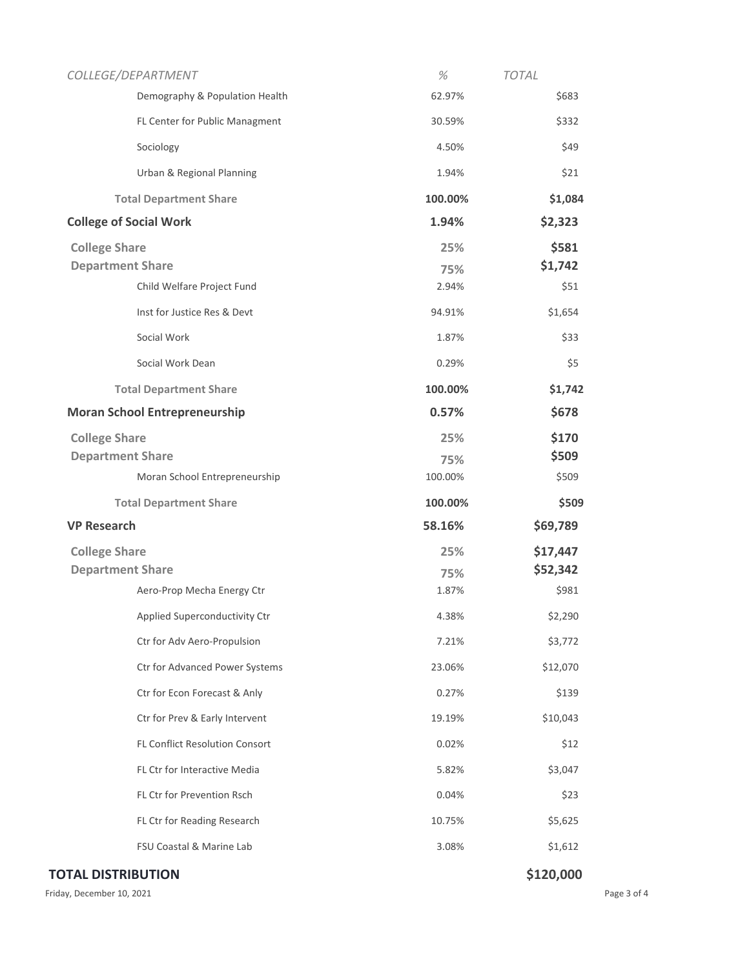| COLLEGE/DEPARTMENT                    | %       | <b>TOTAL</b> |
|---------------------------------------|---------|--------------|
| Demography & Population Health        | 62.97%  | \$683        |
| FL Center for Public Managment        | 30.59%  | \$332        |
| Sociology                             | 4.50%   | \$49         |
| Urban & Regional Planning             | 1.94%   | \$21         |
| <b>Total Department Share</b>         | 100.00% | \$1,084      |
| <b>College of Social Work</b>         | 1.94%   | \$2,323      |
| <b>College Share</b>                  | 25%     | \$581        |
| <b>Department Share</b>               | 75%     | \$1,742      |
| Child Welfare Project Fund            | 2.94%   | \$51         |
| Inst for Justice Res & Devt           | 94.91%  | \$1,654      |
| Social Work                           | 1.87%   | \$33         |
| Social Work Dean                      | 0.29%   | \$5          |
| <b>Total Department Share</b>         | 100.00% | \$1,742      |
| <b>Moran School Entrepreneurship</b>  | 0.57%   | \$678        |
| <b>College Share</b>                  | 25%     | \$170        |
| <b>Department Share</b>               | 75%     | \$509        |
| Moran School Entrepreneurship         | 100.00% | \$509        |
| <b>Total Department Share</b>         | 100.00% | \$509        |
| <b>VP Research</b>                    | 58.16%  | \$69,789     |
| <b>College Share</b>                  | 25%     | \$17,447     |
| <b>Department Share</b>               | 75%     | \$52,342     |
| Aero-Prop Mecha Energy Ctr            | 1.87%   | \$981        |
| Applied Superconductivity Ctr         | 4.38%   | \$2,290      |
| Ctr for Adv Aero-Propulsion           | 7.21%   | \$3,772      |
| Ctr for Advanced Power Systems        | 23.06%  | \$12,070     |
| Ctr for Econ Forecast & Anly          | 0.27%   | \$139        |
| Ctr for Prev & Early Intervent        | 19.19%  | \$10,043     |
| <b>FL Conflict Resolution Consort</b> | 0.02%   | \$12         |
| FL Ctr for Interactive Media          | 5.82%   | \$3,047      |
| FL Ctr for Prevention Rsch            | 0.04%   | \$23         |
| FL Ctr for Reading Research           | 10.75%  | \$5,625      |
| FSU Coastal & Marine Lab              | 3.08%   | \$1,612      |
| <b>TOTAL DISTRIBUTION</b>             |         | \$120,000    |

Friday, December 10, 2021 2001 2012 12:30 Page 3 of 4